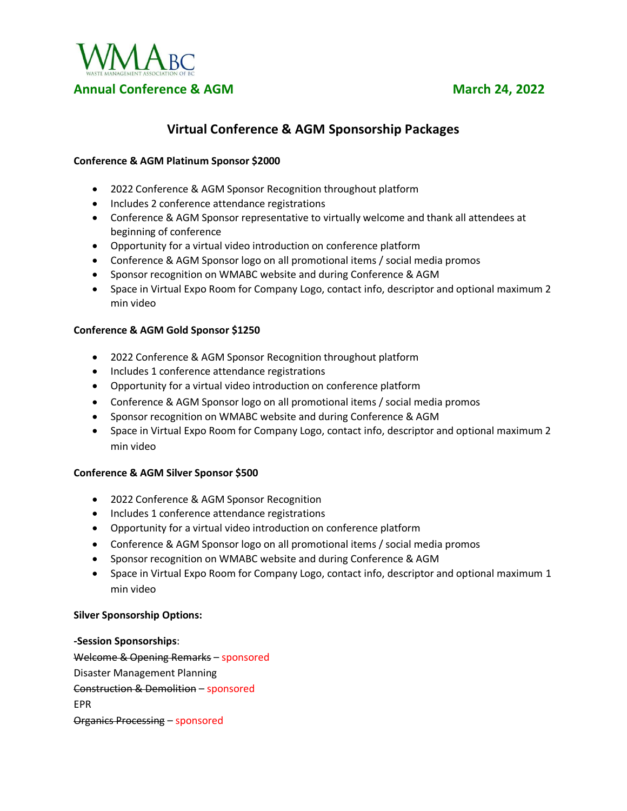

# **Virtual Conference & AGM Sponsorship Packages**

### **Conference & AGM Platinum Sponsor \$2000**

- 2022 Conference & AGM Sponsor Recognition throughout platform
- Includes 2 conference attendance registrations
- Conference & AGM Sponsor representative to virtually welcome and thank all attendees at beginning of conference
- Opportunity for a virtual video introduction on conference platform
- Conference & AGM Sponsor logo on all promotional items / social media promos
- Sponsor recognition on WMABC website and during Conference & AGM
- Space in Virtual Expo Room for Company Logo, contact info, descriptor and optional maximum 2 min video

#### **Conference & AGM Gold Sponsor \$1250**

- 2022 Conference & AGM Sponsor Recognition throughout platform
- Includes 1 conference attendance registrations
- Opportunity for a virtual video introduction on conference platform
- Conference & AGM Sponsor logo on all promotional items / social media promos
- Sponsor recognition on WMABC website and during Conference & AGM
- Space in Virtual Expo Room for Company Logo, contact info, descriptor and optional maximum 2 min video

#### **Conference & AGM Silver Sponsor \$500**

- 2022 Conference & AGM Sponsor Recognition
- Includes 1 conference attendance registrations
- Opportunity for a virtual video introduction on conference platform
- Conference & AGM Sponsor logo on all promotional items / social media promos
- Sponsor recognition on WMABC website and during Conference & AGM
- Space in Virtual Expo Room for Company Logo, contact info, descriptor and optional maximum 1 min video

#### **Silver Sponsorship Options:**

**-Session Sponsorships**: Welcome & Opening Remarks – sponsored Disaster Management Planning Construction & Demolition – sponsored EPR Organics Processing – sponsored